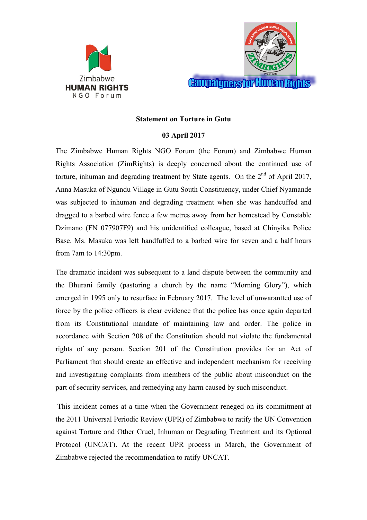



## **Statement on Torture in Gutu**

## **03 April 2017**

The Zimbabwe Human Rights NGO Forum (the Forum) and Zimbabwe Human Rights Association (ZimRights) is deeply concerned about the continued use of torture, inhuman and degrading treatment by State agents. On the  $2<sup>nd</sup>$  of April 2017, Anna Masuka of Ngundu Village in Gutu South Constituency, under Chief Nyamande was subjected to inhuman and degrading treatment when she was handcuffed and dragged to a barbed wire fence a few metres away from her homestead by Constable Dzimano (FN 077907F9) and his unidentified colleague, based at Chinyika Police Base. Ms. Masuka was left handfuffed to a barbed wire for seven and a half hours from 7am to 14:30pm.

The dramatic incident was subsequent to a land dispute between the community and the Bhurani family (pastoring a church by the name "Morning Glory"), which emerged in 1995 only to resurface in February 2017. The level of unwarantted use of force by the police officers is clear evidence that the police has once again departed from its Constitutional mandate of maintaining law and order. The police in accordance with Section 208 of the Constitution should not violate the fundamental rights of any person. Section 201 of the Constitution provides for an Act of Parliament that should create an effective and independent mechanism for receiving and investigating complaints from members of the public about misconduct on the part of security services, and remedying any harm caused by such misconduct.

 This incident comes at a time when the Government reneged on its commitment at the 2011 Universal Periodic Review (UPR) of Zimbabwe to ratify the UN Convention against Torture and Other Cruel, Inhuman or Degrading Treatment and its Optional Protocol (UNCAT). At the recent UPR process in March, the Government of Zimbabwe rejected the recommendation to ratify UNCAT.